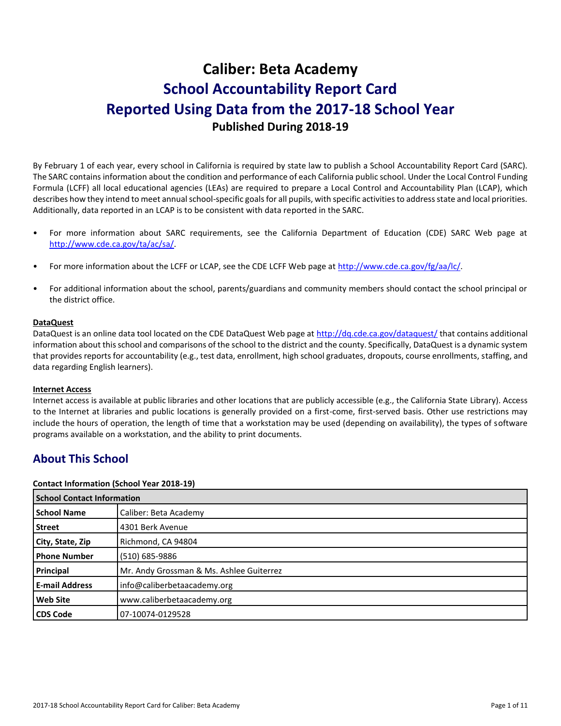# **Caliber: Beta Academy School Accountability Report Card Reported Using Data from the 2017-18 School Year Published During 2018-19**

By February 1 of each year, every school in California is required by state law to publish a School Accountability Report Card (SARC). The SARC contains information about the condition and performance of each California public school. Under the Local Control Funding Formula (LCFF) all local educational agencies (LEAs) are required to prepare a Local Control and Accountability Plan (LCAP), which describes how they intend to meet annual school-specific goals for all pupils, with specific activities to address state and local priorities. Additionally, data reported in an LCAP is to be consistent with data reported in the SARC.

- For more information about SARC requirements, see the California Department of Education (CDE) SARC Web page at [http://www.cde.ca.gov/ta/ac/sa/.](http://www.cde.ca.gov/ta/ac/sa/)
- For more information about the LCFF or LCAP, see the CDE LCFF Web page at [http://www.cde.ca.gov/fg/aa/lc/.](http://www.cde.ca.gov/fg/aa/lc/)
- For additional information about the school, parents/guardians and community members should contact the school principal or the district office.

## **DataQuest**

DataQuest is an online data tool located on the CDE DataQuest Web page a[t http://dq.cde.ca.gov/dataquest/](http://dq.cde.ca.gov/dataquest/) that contains additional information about this school and comparisons of the school to the district and the county. Specifically, DataQuest is a dynamic system that provides reports for accountability (e.g., test data, enrollment, high school graduates, dropouts, course enrollments, staffing, and data regarding English learners).

#### **Internet Access**

Internet access is available at public libraries and other locations that are publicly accessible (e.g., the California State Library). Access to the Internet at libraries and public locations is generally provided on a first-come, first-served basis. Other use restrictions may include the hours of operation, the length of time that a workstation may be used (depending on availability), the types of software programs available on a workstation, and the ability to print documents.

## **About This School**

#### **Contact Information (School Year 2018-19)**

| <b>School Contact Information</b> |                                          |  |
|-----------------------------------|------------------------------------------|--|
| <b>School Name</b>                | Caliber: Beta Academy                    |  |
| <b>Street</b>                     | 4301 Berk Avenue                         |  |
| City, State, Zip                  | Richmond, CA 94804                       |  |
| <b>Phone Number</b>               | (510) 685-9886                           |  |
| Principal                         | Mr. Andy Grossman & Ms. Ashlee Guiterrez |  |
| <b>E-mail Address</b>             | info@caliberbetaacademy.org              |  |
| <b>Web Site</b>                   | www.caliberbetaacademy.org               |  |
| <b>CDS Code</b>                   | 107-10074-0129528                        |  |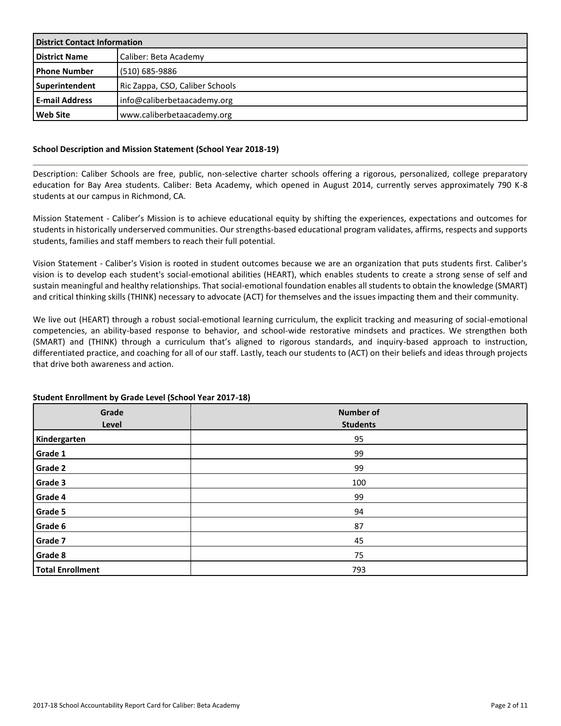| <b>District Contact Information</b> |                                 |  |
|-------------------------------------|---------------------------------|--|
| <b>District Name</b>                | Caliber: Beta Academy           |  |
| l Phone Number                      | (510) 685-9886                  |  |
| Superintendent                      | Ric Zappa, CSO, Caliber Schools |  |
| <b>E-mail Address</b>               | Info@caliberbetaacademy.org     |  |
| Web Site                            | www.caliberbetaacademy.org      |  |

## **School Description and Mission Statement (School Year 2018-19)**

Description: Caliber Schools are free, public, non-selective charter schools offering a rigorous, personalized, college preparatory education for Bay Area students. Caliber: Beta Academy, which opened in August 2014, currently serves approximately 790 K-8 students at our campus in Richmond, CA.

Mission Statement - Caliber's Mission is to achieve educational equity by shifting the experiences, expectations and outcomes for students in historically underserved communities. Our strengths-based educational program validates, affirms, respects and supports students, families and staff members to reach their full potential.

Vision Statement - Caliber's Vision is rooted in student outcomes because we are an organization that puts students first. Caliber's vision is to develop each student's social-emotional abilities (HEART), which enables students to create a strong sense of self and sustain meaningful and healthy relationships. That social-emotional foundation enables all students to obtain the knowledge (SMART) and critical thinking skills (THINK) necessary to advocate (ACT) for themselves and the issues impacting them and their community.

We live out (HEART) through a robust social-emotional learning curriculum, the explicit tracking and measuring of social-emotional competencies, an ability-based response to behavior, and school-wide restorative mindsets and practices. We strengthen both (SMART) and (THINK) through a curriculum that's aligned to rigorous standards, and inquiry-based approach to instruction, differentiated practice, and coaching for all of our staff. Lastly, teach our students to (ACT) on their beliefs and ideas through projects that drive both awareness and action.

| Grade<br>Level          | <b>Number of</b><br><b>Students</b> |
|-------------------------|-------------------------------------|
| Kindergarten            | 95                                  |
| Grade 1                 | 99                                  |
| <b>Grade 2</b>          | 99                                  |
| Grade 3                 | 100                                 |
| Grade 4                 | 99                                  |
| Grade 5                 | 94                                  |
| Grade 6                 | 87                                  |
| Grade 7                 | 45                                  |
| Grade 8                 | 75                                  |
| <b>Total Enrollment</b> | 793                                 |

## **Student Enrollment by Grade Level (School Year 2017-18)**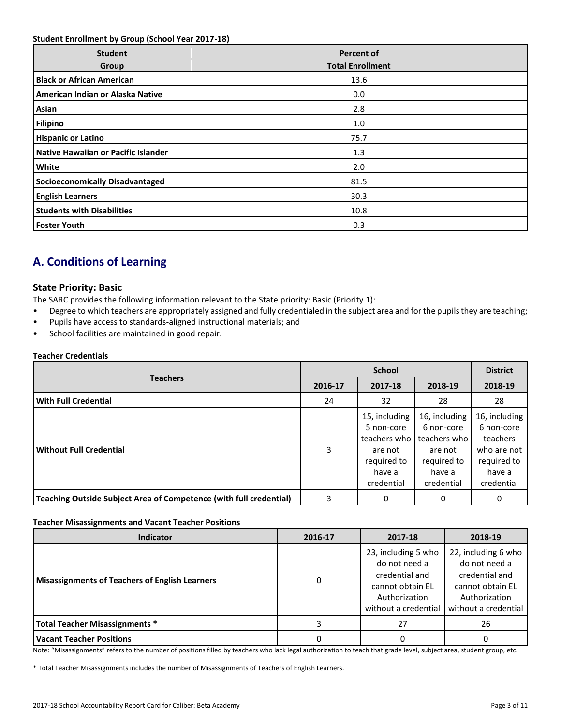## **Student Enrollment by Group (School Year 2017-18)**

| <b>Student</b><br>Group                | <b>Percent of</b><br><b>Total Enrollment</b> |
|----------------------------------------|----------------------------------------------|
| <b>Black or African American</b>       | 13.6                                         |
| American Indian or Alaska Native       | 0.0                                          |
| Asian                                  | 2.8                                          |
| <b>Filipino</b>                        | 1.0                                          |
| <b>Hispanic or Latino</b>              | 75.7                                         |
| Native Hawaiian or Pacific Islander    | 1.3                                          |
| White                                  | 2.0                                          |
| <b>Socioeconomically Disadvantaged</b> | 81.5                                         |
| <b>English Learners</b>                | 30.3                                         |
| <b>Students with Disabilities</b>      | 10.8                                         |
| <b>Foster Youth</b>                    | 0.3                                          |

## **A. Conditions of Learning**

## **State Priority: Basic**

The SARC provides the following information relevant to the State priority: Basic (Priority 1):

- Degree to which teachers are appropriately assigned and fully credentialed in the subject area and for the pupils they are teaching;
- Pupils have access to standards-aligned instructional materials; and
- School facilities are maintained in good repair.

## **Teacher Credentials**

|                                                                           |         | <b>District</b>                                                                               |                                                                                               |                                                                                               |
|---------------------------------------------------------------------------|---------|-----------------------------------------------------------------------------------------------|-----------------------------------------------------------------------------------------------|-----------------------------------------------------------------------------------------------|
| <b>Teachers</b>                                                           | 2016-17 | 2017-18                                                                                       | 2018-19                                                                                       | 2018-19                                                                                       |
| <b>With Full Credential</b>                                               | 24      | 32                                                                                            | 28                                                                                            | 28                                                                                            |
| <b>Without Full Credential</b>                                            | 3       | 15, including<br>5 non-core<br>teachers who<br>are not<br>required to<br>have a<br>credential | 16, including<br>6 non-core<br>teachers who<br>are not<br>required to<br>have a<br>credential | 16, including<br>6 non-core<br>teachers<br>who are not<br>required to<br>have a<br>credential |
| <b>Teaching Outside Subject Area of Competence (with full credential)</b> | 3       | 0                                                                                             | 0                                                                                             | 0                                                                                             |

#### **Teacher Misassignments and Vacant Teacher Positions**

| <b>Indicator</b>                                      | 2016-17 | 2017-18                                                                                                             | 2018-19                                                                                                             |
|-------------------------------------------------------|---------|---------------------------------------------------------------------------------------------------------------------|---------------------------------------------------------------------------------------------------------------------|
| <b>Misassignments of Teachers of English Learners</b> | 0       | 23, including 5 who<br>do not need a<br>credential and<br>cannot obtain EL<br>Authorization<br>without a credential | 22, including 6 who<br>do not need a<br>credential and<br>cannot obtain EL<br>Authorization<br>without a credential |
| Total Teacher Misassignments *                        |         | 27                                                                                                                  | 26                                                                                                                  |
| <b>Vacant Teacher Positions</b>                       |         |                                                                                                                     |                                                                                                                     |

Note: "Misassignments" refers to the number of positions filled by teachers who lack legal authorization to teach that grade level, subject area, student group, etc.

\* Total Teacher Misassignments includes the number of Misassignments of Teachers of English Learners.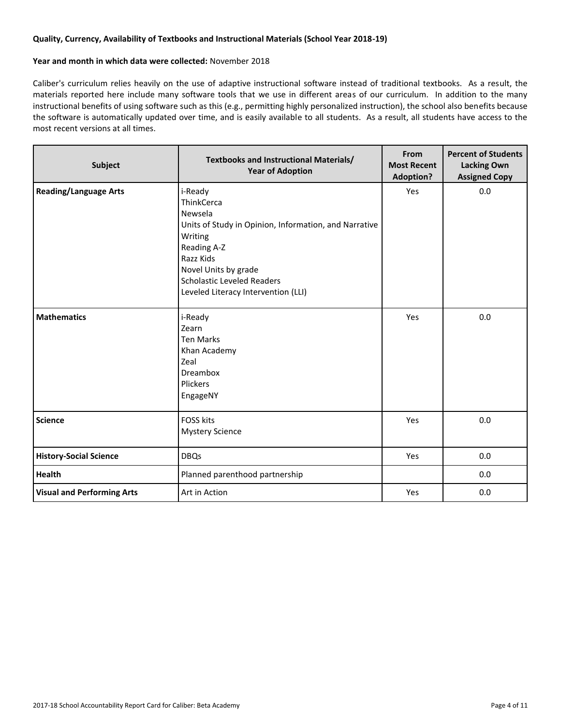## **Quality, Currency, Availability of Textbooks and Instructional Materials (School Year 2018-19)**

## **Year and month in which data were collected:** November 2018

Caliber's curriculum relies heavily on the use of adaptive instructional software instead of traditional textbooks. As a result, the materials reported here include many software tools that we use in different areas of our curriculum. In addition to the many instructional benefits of using software such as this (e.g., permitting highly personalized instruction), the school also benefits because the software is automatically updated over time, and is easily available to all students. As a result, all students have access to the most recent versions at all times.

| Subject                           | <b>Textbooks and Instructional Materials/</b><br><b>Year of Adoption</b>                                                                                                                                                             | From<br><b>Most Recent</b><br><b>Adoption?</b> | <b>Percent of Students</b><br><b>Lacking Own</b><br><b>Assigned Copy</b> |
|-----------------------------------|--------------------------------------------------------------------------------------------------------------------------------------------------------------------------------------------------------------------------------------|------------------------------------------------|--------------------------------------------------------------------------|
| <b>Reading/Language Arts</b>      | i-Ready<br>ThinkCerca<br>Newsela<br>Units of Study in Opinion, Information, and Narrative<br>Writing<br>Reading A-Z<br>Razz Kids<br>Novel Units by grade<br><b>Scholastic Leveled Readers</b><br>Leveled Literacy Intervention (LLI) | Yes                                            | 0.0                                                                      |
| <b>Mathematics</b>                | i-Ready<br>Zearn<br><b>Ten Marks</b><br>Khan Academy<br>Zeal<br>Dreambox<br>Plickers<br>EngageNY                                                                                                                                     | Yes                                            | 0.0                                                                      |
| <b>Science</b>                    | <b>FOSS kits</b><br><b>Mystery Science</b>                                                                                                                                                                                           | Yes                                            | 0.0                                                                      |
| <b>History-Social Science</b>     | <b>DBQs</b>                                                                                                                                                                                                                          | Yes                                            | 0.0                                                                      |
| <b>Health</b>                     | Planned parenthood partnership                                                                                                                                                                                                       |                                                | 0.0                                                                      |
| <b>Visual and Performing Arts</b> | Art in Action                                                                                                                                                                                                                        | Yes                                            | 0.0                                                                      |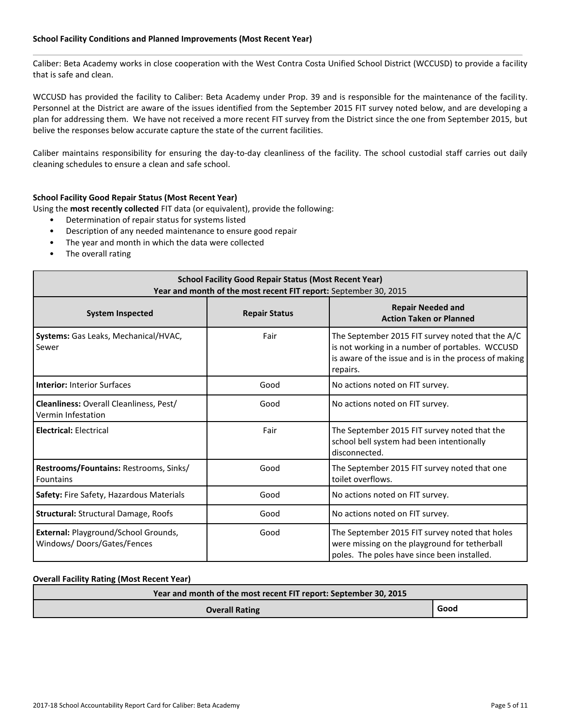## **School Facility Conditions and Planned Improvements (Most Recent Year)**

Caliber: Beta Academy works in close cooperation with the West Contra Costa Unified School District (WCCUSD) to provide a facility that is safe and clean.

WCCUSD has provided the facility to Caliber: Beta Academy under Prop. 39 and is responsible for the maintenance of the facility. Personnel at the District are aware of the issues identified from the September 2015 FIT survey noted below, and are developing a plan for addressing them. We have not received a more recent FIT survey from the District since the one from September 2015, but belive the responses below accurate capture the state of the current facilities.

Caliber maintains responsibility for ensuring the day-to-day cleanliness of the facility. The school custodial staff carries out daily cleaning schedules to ensure a clean and safe school.

## **School Facility Good Repair Status (Most Recent Year)**

Using the **most recently collected** FIT data (or equivalent), provide the following:

- Determination of repair status for systems listed
- Description of any needed maintenance to ensure good repair
- The year and month in which the data were collected
- The overall rating

| <b>School Facility Good Repair Status (Most Recent Year)</b><br>Year and month of the most recent FIT report: September 30, 2015 |                      |                                                                                                                                                                          |  |  |  |
|----------------------------------------------------------------------------------------------------------------------------------|----------------------|--------------------------------------------------------------------------------------------------------------------------------------------------------------------------|--|--|--|
| <b>System Inspected</b>                                                                                                          | <b>Repair Status</b> | <b>Repair Needed and</b><br><b>Action Taken or Planned</b>                                                                                                               |  |  |  |
| Systems: Gas Leaks, Mechanical/HVAC,<br>Sewer                                                                                    | Fair                 | The September 2015 FIT survey noted that the A/C<br>is not working in a number of portables. WCCUSD<br>is aware of the issue and is in the process of making<br>repairs. |  |  |  |
| <b>Interior: Interior Surfaces</b>                                                                                               | Good                 | No actions noted on FIT survey.                                                                                                                                          |  |  |  |
| Cleanliness: Overall Cleanliness, Pest/<br>Vermin Infestation                                                                    | Good                 | No actions noted on FIT survey.                                                                                                                                          |  |  |  |
| <b>Electrical: Electrical</b>                                                                                                    | Fair                 | The September 2015 FIT survey noted that the<br>school bell system had been intentionally<br>disconnected.                                                               |  |  |  |
| Restrooms/Fountains: Restrooms, Sinks/<br><b>Fountains</b>                                                                       | Good                 | The September 2015 FIT survey noted that one<br>toilet overflows.                                                                                                        |  |  |  |
| Safety: Fire Safety, Hazardous Materials                                                                                         | Good                 | No actions noted on FIT survey.                                                                                                                                          |  |  |  |
| <b>Structural: Structural Damage, Roofs</b>                                                                                      | Good                 | No actions noted on FIT survey.                                                                                                                                          |  |  |  |
| External: Playground/School Grounds,<br>Windows/Doors/Gates/Fences                                                               | Good                 | The September 2015 FIT survey noted that holes<br>were missing on the playground for tetherball<br>poles. The poles have since been installed.                           |  |  |  |

#### **Overall Facility Rating (Most Recent Year)**

|                       | Year and month of the most recent FIT report: September 30, 2015 |      |  |  |
|-----------------------|------------------------------------------------------------------|------|--|--|
| <b>Overall Rating</b> |                                                                  | Good |  |  |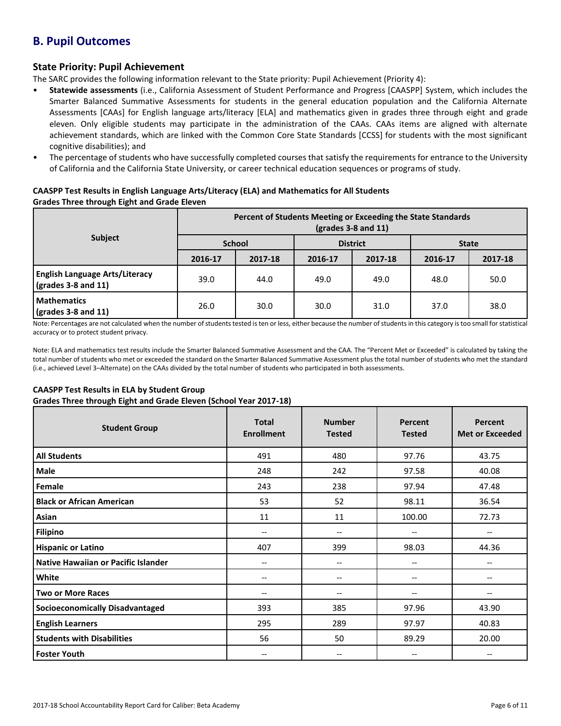## **B. Pupil Outcomes**

## **State Priority: Pupil Achievement**

The SARC provides the following information relevant to the State priority: Pupil Achievement (Priority 4):

- **Statewide assessments** (i.e., California Assessment of Student Performance and Progress [CAASPP] System, which includes the Smarter Balanced Summative Assessments for students in the general education population and the California Alternate Assessments [CAAs] for English language arts/literacy [ELA] and mathematics given in grades three through eight and grade eleven. Only eligible students may participate in the administration of the CAAs. CAAs items are aligned with alternate achievement standards, which are linked with the Common Core State Standards [CCSS] for students with the most significant cognitive disabilities); and
- The percentage of students who have successfully completed courses that satisfy the requirements for entrance to the University of California and the California State University, or career technical education sequences or programs of study.

## **CAASPP Test Results in English Language Arts/Literacy (ELA) and Mathematics for All Students Grades Three through Eight and Grade Eleven**

|                                                                               | Percent of Students Meeting or Exceeding the State Standards<br>$\left(\frac{\text{grades}}{3} - 8\right)$ and 11) |         |                 |         |              |         |
|-------------------------------------------------------------------------------|--------------------------------------------------------------------------------------------------------------------|---------|-----------------|---------|--------------|---------|
| <b>Subject</b>                                                                | <b>School</b>                                                                                                      |         | <b>District</b> |         | <b>State</b> |         |
|                                                                               | 2016-17                                                                                                            | 2017-18 | 2016-17         | 2017-18 | 2016-17      | 2017-18 |
| <b>English Language Arts/Literacy</b><br>$\left($ grades 3-8 and 11 $\right)$ | 39.0                                                                                                               | 44.0    | 49.0            | 49.0    | 48.0         | 50.0    |
| <b>Mathematics</b><br>$\sqrt{grades}$ 3-8 and 11)                             | 26.0                                                                                                               | 30.0    | 30.0            | 31.0    | 37.0         | 38.0    |

Note: Percentages are not calculated when the number of students tested is ten or less, either because the number of students in this category is too small for statistical accuracy or to protect student privacy.

Note: ELA and mathematics test results include the Smarter Balanced Summative Assessment and the CAA. The "Percent Met or Exceeded" is calculated by taking the total number of students who met or exceeded the standard on the Smarter Balanced Summative Assessment plus the total number of students who met the standard (i.e., achieved Level 3–Alternate) on the CAAs divided by the total number of students who participated in both assessments.

## **CAASPP Test Results in ELA by Student Group**

**Grades Three through Eight and Grade Eleven (School Year 2017-18)**

| <b>Student Group</b>                   | <b>Total</b><br><b>Enrollment</b> | <b>Number</b><br><b>Tested</b> | <b>Percent</b><br><b>Tested</b> | Percent<br><b>Met or Exceeded</b> |
|----------------------------------------|-----------------------------------|--------------------------------|---------------------------------|-----------------------------------|
| <b>All Students</b>                    | 491                               | 480                            | 97.76                           | 43.75                             |
| Male                                   | 248                               | 242                            | 97.58                           | 40.08                             |
| Female                                 | 243                               | 238                            | 97.94                           | 47.48                             |
| <b>Black or African American</b>       | 53                                | 52                             | 98.11                           | 36.54                             |
| Asian                                  | 11                                | 11                             | 100.00                          | 72.73                             |
| <b>Filipino</b>                        | $-$                               | --                             | --                              | $\overline{\phantom{m}}$          |
| <b>Hispanic or Latino</b>              | 407                               | 399                            | 98.03                           | 44.36                             |
| Native Hawaiian or Pacific Islander    | --                                | --                             | --                              |                                   |
| White                                  | --                                | $\overline{\phantom{a}}$       | $\overline{\phantom{m}}$        | $- -$                             |
| <b>Two or More Races</b>               | --                                | --                             | $-$                             |                                   |
| <b>Socioeconomically Disadvantaged</b> | 393                               | 385                            | 97.96                           | 43.90                             |
| <b>English Learners</b>                | 295                               | 289                            | 97.97                           | 40.83                             |
| <b>Students with Disabilities</b>      | 56                                | 50                             | 89.29                           | 20.00                             |
| <b>Foster Youth</b>                    | --                                | $-$                            | --                              | --                                |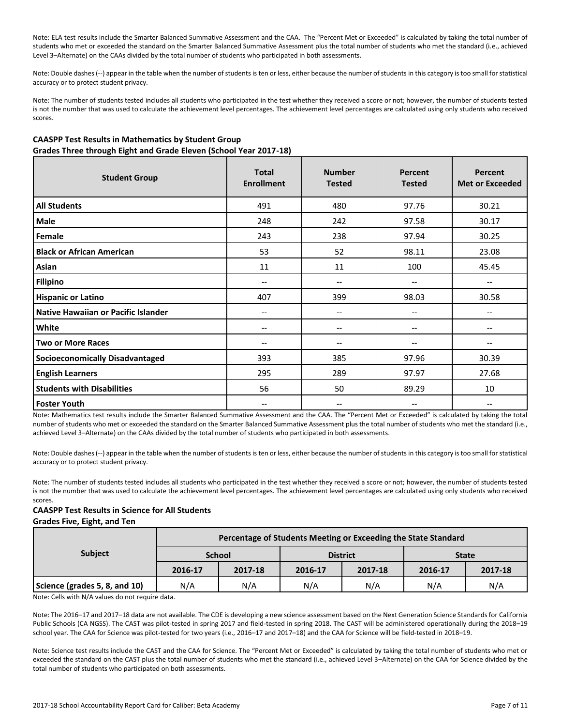Note: ELA test results include the Smarter Balanced Summative Assessment and the CAA. The "Percent Met or Exceeded" is calculated by taking the total number of students who met or exceeded the standard on the Smarter Balanced Summative Assessment plus the total number of students who met the standard (i.e., achieved Level 3–Alternate) on the CAAs divided by the total number of students who participated in both assessments.

Note: Double dashes (--) appear in the table when the number of students is ten or less, either because the number of students in this category is too small for statistical accuracy or to protect student privacy.

Note: The number of students tested includes all students who participated in the test whether they received a score or not; however, the number of students tested is not the number that was used to calculate the achievement level percentages. The achievement level percentages are calculated using only students who received scores.

## **CAASPP Test Results in Mathematics by Student Group Grades Three through Eight and Grade Eleven (School Year 2017-18)**

| <b>Student Group</b>                   | <b>Total</b><br><b>Enrollment</b> | <b>Number</b><br><b>Tested</b> | Percent<br><b>Tested</b> | Percent<br><b>Met or Exceeded</b> |
|----------------------------------------|-----------------------------------|--------------------------------|--------------------------|-----------------------------------|
| <b>All Students</b>                    | 491                               | 480                            | 97.76                    | 30.21                             |
| <b>Male</b>                            | 248                               | 242                            | 97.58                    | 30.17                             |
| Female                                 | 243                               | 238                            | 97.94                    | 30.25                             |
| <b>Black or African American</b>       | 53                                | 52                             | 98.11                    | 23.08                             |
| Asian                                  | 11                                | 11                             | 100                      | 45.45                             |
| <b>Filipino</b>                        | $-$                               | --                             | --                       | $\hspace{0.05cm} \ldots$          |
| <b>Hispanic or Latino</b>              | 407                               | 399                            | 98.03                    | 30.58                             |
| Native Hawaiian or Pacific Islander    | --                                | --                             | --                       | --                                |
| White                                  | --                                | --                             | --                       | $\hspace{0.05cm} \ldots$          |
| <b>Two or More Races</b>               | --                                | --                             | --                       | $\overline{\phantom{m}}$          |
| <b>Socioeconomically Disadvantaged</b> | 393                               | 385                            | 97.96                    | 30.39                             |
| <b>English Learners</b>                | 295                               | 289                            | 97.97                    | 27.68                             |
| <b>Students with Disabilities</b>      | 56                                | 50                             | 89.29                    | 10                                |
| Foster Youth                           | --                                | --                             | --                       | $-$                               |

Note: Mathematics test results include the Smarter Balanced Summative Assessment and the CAA. The "Percent Met or Exceeded" is calculated by taking the total number of students who met or exceeded the standard on the Smarter Balanced Summative Assessment plus the total number of students who met the standard (i.e., achieved Level 3–Alternate) on the CAAs divided by the total number of students who participated in both assessments.

Note: Double dashes (--) appear in the table when the number of students is ten or less, either because the number of students in this category is too small for statistical accuracy or to protect student privacy.

Note: The number of students tested includes all students who participated in the test whether they received a score or not; however, the number of students tested is not the number that was used to calculate the achievement level percentages. The achievement level percentages are calculated using only students who received scores.

### **CAASPP Test Results in Science for All Students Grades Five, Eight, and Ten**

| <b>Subject</b>                | Percentage of Students Meeting or Exceeding the State Standard |               |                 |         |              |         |  |  |
|-------------------------------|----------------------------------------------------------------|---------------|-----------------|---------|--------------|---------|--|--|
|                               |                                                                | <b>School</b> | <b>District</b> |         | <b>State</b> |         |  |  |
|                               | 2016-17                                                        | 2017-18       | 2016-17         | 2017-18 | 2016-17      | 2017-18 |  |  |
| Science (grades 5, 8, and 10) | N/A                                                            | N/A           | N/A             | N/A     | N/A          | N/A     |  |  |

Note: Cells with N/A values do not require data.

Note: The 2016–17 and 2017–18 data are not available. The CDE is developing a new science assessment based on the Next Generation Science Standards for California Public Schools (CA NGSS). The CAST was pilot-tested in spring 2017 and field-tested in spring 2018. The CAST will be administered operationally during the 2018–19 school year. The CAA for Science was pilot-tested for two years (i.e., 2016–17 and 2017–18) and the CAA for Science will be field-tested in 2018–19.

Note: Science test results include the CAST and the CAA for Science. The "Percent Met or Exceeded" is calculated by taking the total number of students who met or exceeded the standard on the CAST plus the total number of students who met the standard (i.e., achieved Level 3–Alternate) on the CAA for Science divided by the total number of students who participated on both assessments.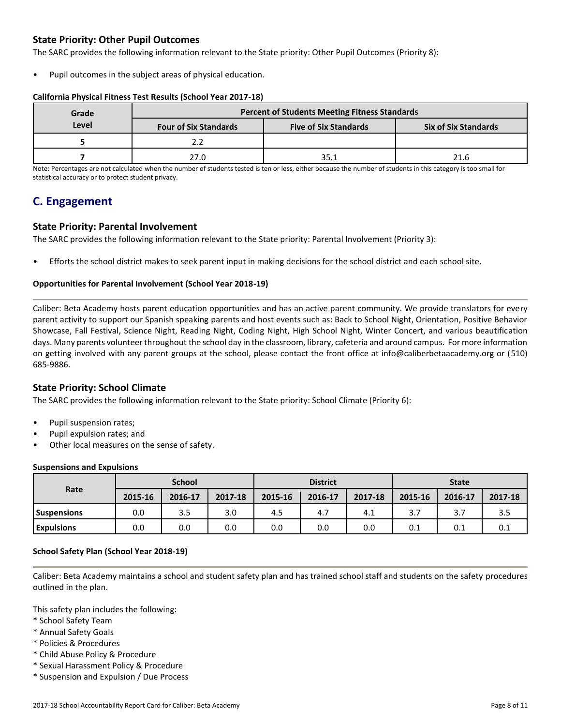## **State Priority: Other Pupil Outcomes**

The SARC provides the following information relevant to the State priority: Other Pupil Outcomes (Priority 8):

Pupil outcomes in the subject areas of physical education.

## **California Physical Fitness Test Results (School Year 2017-18)**

| Grade | <b>Percent of Students Meeting Fitness Standards</b> |                              |                             |  |  |  |  |
|-------|------------------------------------------------------|------------------------------|-----------------------------|--|--|--|--|
| Level | <b>Four of Six Standards</b>                         | <b>Five of Six Standards</b> | <b>Six of Six Standards</b> |  |  |  |  |
|       |                                                      |                              |                             |  |  |  |  |
|       | ን7 በ                                                 | 35.1                         | 21.6                        |  |  |  |  |

Note: Percentages are not calculated when the number of students tested is ten or less, either because the number of students in this category is too small for statistical accuracy or to protect student privacy.

## **C. Engagement**

## **State Priority: Parental Involvement**

The SARC provides the following information relevant to the State priority: Parental Involvement (Priority 3):

• Efforts the school district makes to seek parent input in making decisions for the school district and each school site.

## **Opportunities for Parental Involvement (School Year 2018-19)**

Caliber: Beta Academy hosts parent education opportunities and has an active parent community. We provide translators for every parent activity to support our Spanish speaking parents and host events such as: Back to School Night, Orientation, Positive Behavior Showcase, Fall Festival, Science Night, Reading Night, Coding Night, High School Night, Winter Concert, and various beautification days. Many parents volunteer throughout the school day in the classroom, library, cafeteria and around campus. For more information on getting involved with any parent groups at the school, please contact the front office at info@caliberbetaacademy.org or (510) 685-9886.

## **State Priority: School Climate**

The SARC provides the following information relevant to the State priority: School Climate (Priority 6):

- Pupil suspension rates;
- Pupil expulsion rates; and
- Other local measures on the sense of safety.

#### **Suspensions and Expulsions**

| Rate               |         | <b>School</b> |         | <b>District</b> |         |         | <b>State</b> |         |         |
|--------------------|---------|---------------|---------|-----------------|---------|---------|--------------|---------|---------|
|                    | 2015-16 | 2016-17       | 2017-18 | 2015-16         | 2016-17 | 2017-18 | 2015-16      | 2016-17 | 2017-18 |
| <b>Suspensions</b> | 0.0     | 3.5           | 3.0     | 4.5             | 4.7     | 4.1     | 3.7          | 3.7     | 3.5     |
| <b>Expulsions</b>  | 0.0     | 0.0           | 0.0     | 0.0             | 0.0     | 0.0     | 0.1          | 0.1     | 0.1     |

## **School Safety Plan (School Year 2018-19)**

Caliber: Beta Academy maintains a school and student safety plan and has trained school staff and students on the safety procedures outlined in the plan.

This safety plan includes the following:

- \* School Safety Team
- \* Annual Safety Goals
- \* Policies & Procedures
- \* Child Abuse Policy & Procedure
- \* Sexual Harassment Policy & Procedure
- \* Suspension and Expulsion / Due Process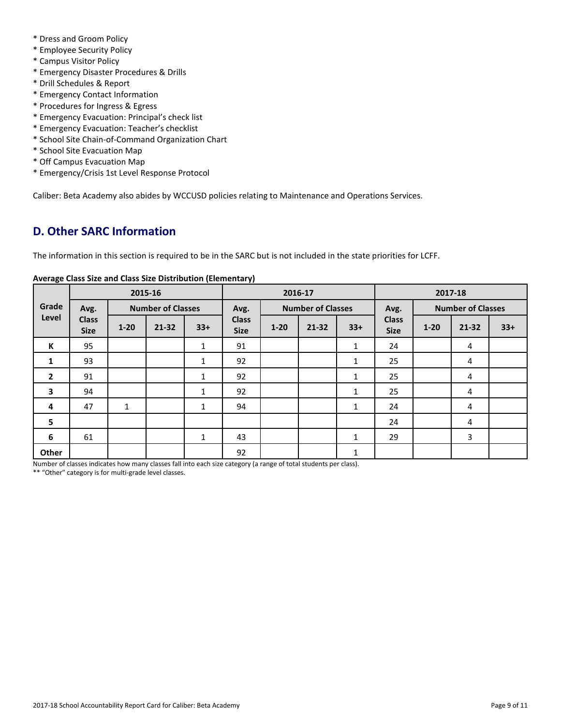- \* Dress and Groom Policy
- \* Employee Security Policy
- \* Campus Visitor Policy
- \* Emergency Disaster Procedures & Drills
- \* Drill Schedules & Report
- \* Emergency Contact Information
- \* Procedures for Ingress & Egress
- \* Emergency Evacuation: Principal's check list
- \* Emergency Evacuation: Teacher's checklist
- \* School Site Chain-of-Command Organization Chart
- \* School Site Evacuation Map
- \* Off Campus Evacuation Map
- \* Emergency/Crisis 1st Level Response Protocol

Caliber: Beta Academy also abides by WCCUSD policies relating to Maintenance and Operations Services.

## **D. Other SARC Information**

The information in this section is required to be in the SARC but is not included in the state priorities for LCFF.

|                         | 2015-16                     |                          |           |              | 2016-17                     |                          |           |              | 2017-18                     |                          |           |       |
|-------------------------|-----------------------------|--------------------------|-----------|--------------|-----------------------------|--------------------------|-----------|--------------|-----------------------------|--------------------------|-----------|-------|
| Grade<br>Level          | Avg.                        | <b>Number of Classes</b> |           |              | Avg.                        | <b>Number of Classes</b> |           |              | Avg.                        | <b>Number of Classes</b> |           |       |
|                         | <b>Class</b><br><b>Size</b> | $1 - 20$                 | $21 - 32$ | $33+$        | <b>Class</b><br><b>Size</b> | $1 - 20$                 | $21 - 32$ | $33+$        | <b>Class</b><br><b>Size</b> | $1 - 20$                 | $21 - 32$ | $33+$ |
| К                       | 95                          |                          |           | $\mathbf{1}$ | 91                          |                          |           | $\mathbf{1}$ | 24                          |                          | 4         |       |
| 1                       | 93                          |                          |           | $\mathbf{1}$ | 92                          |                          |           | $\mathbf{1}$ | 25                          |                          | 4         |       |
| $\overline{2}$          | 91                          |                          |           | $\mathbf{1}$ | 92                          |                          |           | 1            | 25                          |                          | 4         |       |
| $\overline{\mathbf{3}}$ | 94                          |                          |           | $\mathbf{1}$ | 92                          |                          |           | $\mathbf{1}$ | 25                          |                          | 4         |       |
| 4                       | 47                          | $\mathbf{1}$             |           | $\mathbf{1}$ | 94                          |                          |           | $\mathbf{1}$ | 24                          |                          | 4         |       |
| 5                       |                             |                          |           |              |                             |                          |           |              | 24                          |                          | 4         |       |
| 6                       | 61                          |                          |           | $\mathbf{1}$ | 43                          |                          |           | $\mathbf{1}$ | 29                          |                          | 3         |       |
| Other                   |                             |                          |           |              | 92                          |                          |           | $\mathbf{1}$ |                             |                          |           |       |

## **Average Class Size and Class Size Distribution (Elementary)**

Number of classes indicates how many classes fall into each size category (a range of total students per class).

\*\* "Other" category is for multi-grade level classes.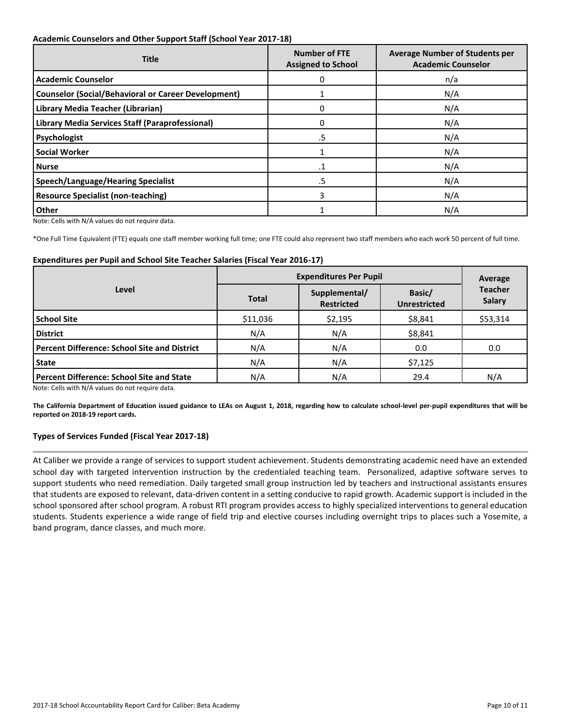## **Academic Counselors and Other Support Staff (School Year 2017-18)**

| <b>Title</b>                                               | <b>Number of FTE</b><br><b>Assigned to School</b> | <b>Average Number of Students per</b><br><b>Academic Counselor</b> |  |  |
|------------------------------------------------------------|---------------------------------------------------|--------------------------------------------------------------------|--|--|
| <b>Academic Counselor</b>                                  | O                                                 | n/a                                                                |  |  |
| <b>Counselor (Social/Behavioral or Career Development)</b> |                                                   | N/A                                                                |  |  |
| Library Media Teacher (Librarian)                          | 0                                                 | N/A                                                                |  |  |
| <b>Library Media Services Staff (Paraprofessional)</b>     | $\Omega$                                          | N/A                                                                |  |  |
| Psychologist                                               | .5                                                | N/A                                                                |  |  |
| <b>Social Worker</b>                                       |                                                   | N/A                                                                |  |  |
| <b>Nurse</b>                                               | .1                                                | N/A                                                                |  |  |
| <b>Speech/Language/Hearing Specialist</b>                  | .5                                                | N/A                                                                |  |  |
| <b>Resource Specialist (non-teaching)</b>                  | 3                                                 | N/A                                                                |  |  |
| <b>Other</b>                                               |                                                   | N/A                                                                |  |  |

Note: Cells with N/A values do not require data.

\*One Full Time Equivalent (FTE) equals one staff member working full time; one FTE could also represent two staff members who each work 50 percent of full time.

#### **Expenditures per Pupil and School Site Teacher Salaries (Fiscal Year 2016-17)**

|                                                     | <b>Expenditures Per Pupil</b> | Average                            |                               |                                 |
|-----------------------------------------------------|-------------------------------|------------------------------------|-------------------------------|---------------------------------|
| Level                                               | <b>Total</b>                  | Supplemental/<br><b>Restricted</b> | Basic/<br><b>Unrestricted</b> | <b>Teacher</b><br><b>Salary</b> |
| <b>School Site</b>                                  | \$11,036                      | \$2,195                            | \$8,841                       | \$53,314                        |
| <b>District</b>                                     | N/A                           | N/A                                | \$8,841                       |                                 |
| <b>Percent Difference: School Site and District</b> | N/A                           | N/A                                | 0.0                           | 0.0                             |
| <b>State</b>                                        | N/A                           | N/A                                | \$7,125                       |                                 |
| <b>Percent Difference: School Site and State</b>    | N/A                           | N/A                                | 29.4                          | N/A                             |

Note: Cells with N/A values do not require data.

**The California Department of Education issued guidance to LEAs on August 1, 2018, regarding how to calculate school-level per-pupil expenditures that will be reported on 2018-19 report cards.**

## **Types of Services Funded (Fiscal Year 2017-18)**

At Caliber we provide a range of services to support student achievement. Students demonstrating academic need have an extended school day with targeted intervention instruction by the credentialed teaching team. Personalized, adaptive software serves to support students who need remediation. Daily targeted small group instruction led by teachers and instructional assistants ensures that students are exposed to relevant, data-driven content in a setting conducive to rapid growth. Academic support is included in the school sponsored after school program. A robust RTI program provides access to highly specialized interventions to general education students. Students experience a wide range of field trip and elective courses including overnight trips to places such a Yosemite, a band program, dance classes, and much more.